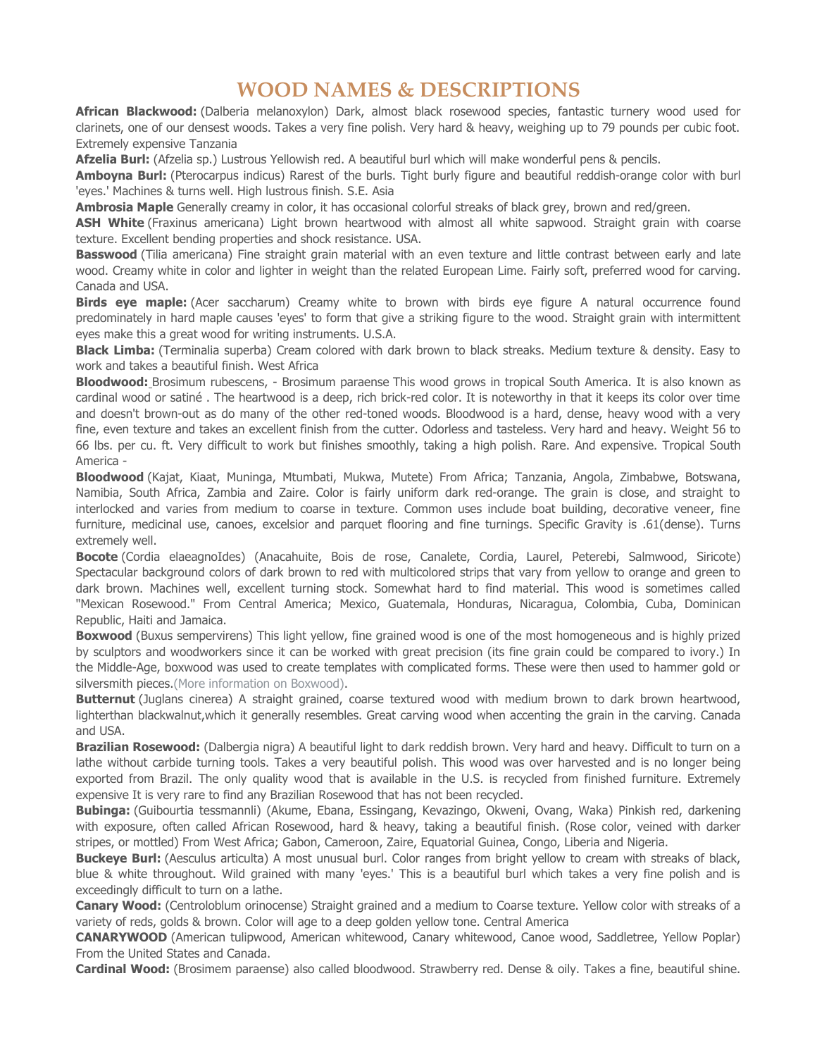## **WOOD NAMES & DESCRIPTIONS**

**African Blackwood:** (Dalberia melanoxylon) Dark, almost black rosewood species, fantastic turnery wood used for clarinets, one of our densest woods. Takes a very fine polish. Very hard & heavy, weighing up to 79 pounds per cubic foot. Extremely expensive Tanzania

**Afzelia Burl:** (Afzelia sp.) Lustrous Yellowish red. A beautiful burl which will make wonderful pens & pencils.

**Amboyna Burl:** (Pterocarpus indicus) Rarest of the burls. Tight burly figure and beautiful reddish-orange color with burl 'eyes.' Machines & turns well. High lustrous finish. S.E. Asia

**Ambrosia Maple** Generally creamy in color, it has occasional colorful streaks of black grey, brown and red/green.

ASH White (Fraxinus americana) Light brown heartwood with almost all white sapwood. Straight grain with coarse texture. Excellent bending properties and shock resistance. USA.

**Basswood** (Tilia americana) Fine straight grain material with an even texture and little contrast between early and late wood. Creamy white in color and lighter in weight than the related European Lime. Fairly soft, preferred wood for carving. Canada and USA.

**Birds eye maple:** (Acer saccharum) Creamy white to brown with birds eye figure A natural occurrence found predominately in hard maple causes 'eyes' to form that give a striking figure to the wood. Straight grain with intermittent eyes make this a great wood for writing instruments. U.S.A.

**Black Limba:** (Terminalia superba) Cream colored with dark brown to black streaks. Medium texture & density. Easy to work and takes a beautiful finish. West Africa

**Bloodwood:** Brosimum rubescens, - Brosimum paraense This wood grows in tropical South America. It is also known as cardinal wood or satiné . The heartwood is a deep, rich brick-red color. It is noteworthy in that it keeps its color over time and doesn't brown-out as do many of the other red-toned woods. Bloodwood is a hard, dense, heavy wood with a very fine, even texture and takes an excellent finish from the cutter. Odorless and tasteless. Very hard and heavy. Weight 56 to 66 lbs. per cu. ft. Very difficult to work but finishes smoothly, taking a high polish. Rare. And expensive. Tropical South America -

**Bloodwood** (Kajat, Kiaat, Muninga, Mtumbati, Mukwa, Mutete) From Africa; Tanzania, Angola, Zimbabwe, Botswana, Namibia, South Africa, Zambia and Zaire. Color is fairly uniform dark red-orange. The grain is close, and straight to interlocked and varies from medium to coarse in texture. Common uses include boat building, decorative veneer, fine furniture, medicinal use, canoes, excelsior and parquet flooring and fine turnings. Specific Gravity is .61(dense). Turns extremely well.

**Bocote** (Cordia elaeagnoIdes) (Anacahuite, Bois de rose, Canalete, Cordia, Laurel, Peterebi, Salmwood, Siricote) Spectacular background colors of dark brown to red with multicolored strips that vary from yellow to orange and green to dark brown. Machines well, excellent turning stock. Somewhat hard to find material. This wood is sometimes called "Mexican Rosewood." From Central America; Mexico, Guatemala, Honduras, Nicaragua, Colombia, Cuba, Dominican Republic, Haiti and Jamaica.

**Boxwood** (Buxus sempervirens) This light yellow, fine grained wood is one of the most homogeneous and is highly prized by sculptors and woodworkers since it can be worked with great precision (its fine grain could be compared to ivory.) In the Middle-Age, boxwood was used to create templates with complicated forms. These were then used to hammer gold or silversmith pieces. (More information on Boxwood).

**Butternut** (Juglans cinerea) A straight grained, coarse textured wood with medium brown to dark brown heartwood, lighterthan blackwalnut,which it generally resembles. Great carving wood when accenting the grain in the carving. Canada and USA.

**Brazilian Rosewood:** (Dalbergia nigra) A beautiful light to dark reddish brown. Very hard and heavy. Difficult to turn on a lathe without carbide turning tools. Takes a very beautiful polish. This wood was over harvested and is no longer being exported from Brazil. The only quality wood that is available in the U.S. is recycled from finished furniture. Extremely expensive It is very rare to find any Brazilian Rosewood that has not been recycled.

**Bubinga:** (Guibourtia tessmannli) (Akume, Ebana, Essingang, Kevazingo, Okweni, Ovang, Waka) Pinkish red, darkening with exposure, often called African Rosewood, hard & heavy, taking a beautiful finish. (Rose color, veined with darker stripes, or mottled) From West Africa; Gabon, Cameroon, Zaire, Equatorial Guinea, Congo, Liberia and Nigeria.

**Buckeye Burl:** (Aesculus articulta) A most unusual burl. Color ranges from bright yellow to cream with streaks of black, blue & white throughout. Wild grained with many 'eyes.' This is a beautiful burl which takes a very fine polish and is exceedingly difficult to turn on a lathe.

**Canary Wood:** (Centroloblum orinocense) Straight grained and a medium to Coarse texture. Yellow color with streaks of a variety of reds, golds & brown. Color will age to a deep golden yellow tone. Central America

**CANARYWOOD** (American tulipwood, American whitewood, Canary whitewood, Canoe wood, Saddletree, Yellow Poplar) From the United States and Canada.

**Cardinal Wood:** (Brosimem paraense) also called bloodwood. Strawberry red. Dense & oily. Takes a fine, beautiful shine.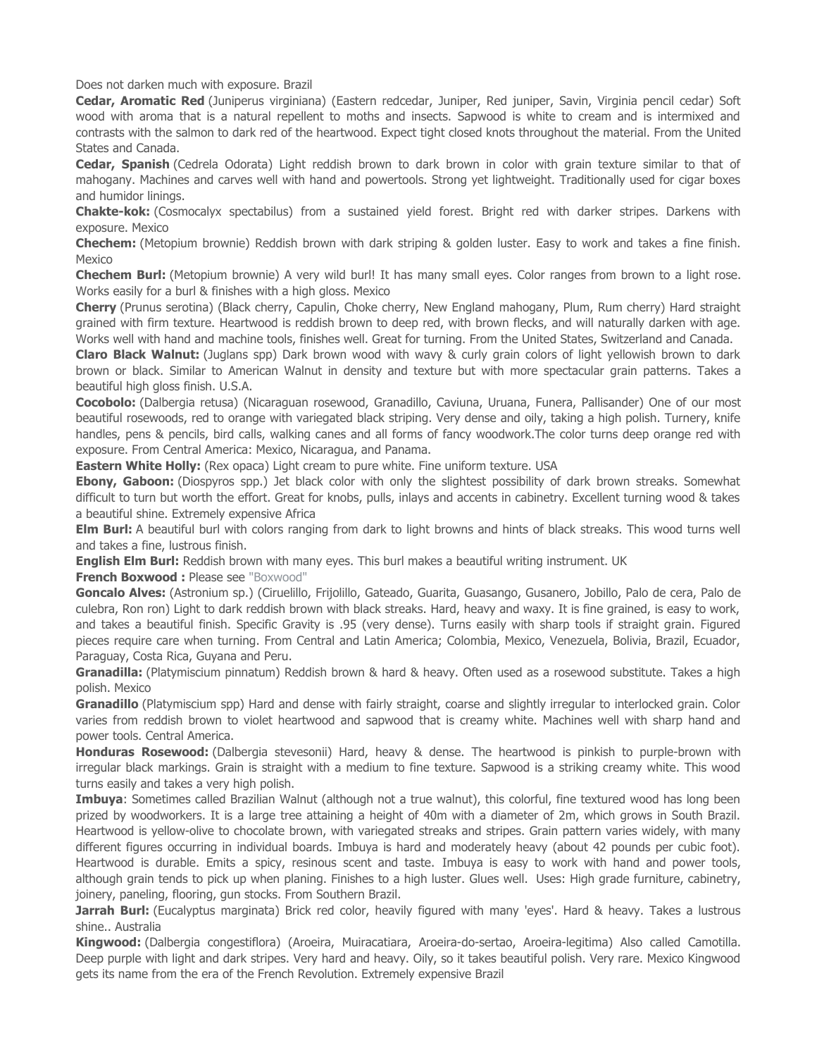Does not darken much with exposure. Brazil

**Cedar, Aromatic Red** (Juniperus virginiana) (Eastern redcedar, Juniper, Red juniper, Savin, Virginia pencil cedar) Soft wood with aroma that is a natural repellent to moths and insects. Sapwood is white to cream and is intermixed and contrasts with the salmon to dark red of the heartwood. Expect tight closed knots throughout the material. From the United States and Canada.

**Cedar, Spanish** (Cedrela Odorata) Light reddish brown to dark brown in color with grain texture similar to that of mahogany. Machines and carves well with hand and powertools. Strong yet lightweight. Traditionally used for cigar boxes and humidor linings.

**Chakte-kok:** (Cosmocalyx spectabilus) from a sustained yield forest. Bright red with darker stripes. Darkens with exposure. Mexico

**Chechem:** (Metopium brownie) Reddish brown with dark striping & golden luster. Easy to work and takes a fine finish. Mexico

**Chechem Burl:** (Metopium brownie) A very wild burl! It has many small eyes. Color ranges from brown to a light rose. Works easily for a burl & finishes with a high gloss. Mexico

**Cherry** (Prunus serotina) (Black cherry, Capulin, Choke cherry, New England mahogany, Plum, Rum cherry) Hard straight grained with firm texture. Heartwood is reddish brown to deep red, with brown flecks, and will naturally darken with age. Works well with hand and machine tools, finishes well. Great for turning. From the United States, Switzerland and Canada.

**Claro Black Walnut:** (Juglans spp) Dark brown wood with wavy & curly grain colors of light yellowish brown to dark brown or black. Similar to American Walnut in density and texture but with more spectacular grain patterns. Takes a beautiful high gloss finish. U.S.A.

**Cocobolo:** (Dalbergia retusa) (Nicaraguan rosewood, Granadillo, Caviuna, Uruana, Funera, Pallisander) One of our most beautiful rosewoods, red to orange with variegated black striping. Very dense and oily, taking a high polish. Turnery, knife handles, pens & pencils, bird calls, walking canes and all forms of fancy woodwork.The color turns deep orange red with exposure. From Central America: Mexico, Nicaragua, and Panama.

**Eastern White Holly:** (Rex opaca) Light cream to pure white. Fine uniform texture. USA

**Ebony, Gaboon:** (Diospyros spp.) Jet black color with only the slightest possibility of dark brown streaks. Somewhat difficult to turn but worth the effort. Great for knobs, pulls, inlays and accents in cabinetry. Excellent turning wood & takes a beautiful shine. Extremely expensive Africa

**Elm Burl:** A beautiful burl with colors ranging from dark to light browns and hints of black streaks. This wood turns well and takes a fine, lustrous finish.

**English Elm Burl:** Reddish brown with many eyes. This burl makes a beautiful writing instrument. UK

**French Boxwood :** Please see "Boxwood"

**Goncalo Alves:** (Astronium sp.) (Ciruelillo, Frijolillo, Gateado, Guarita, Guasango, Gusanero, Jobillo, Palo de cera, Palo de culebra, Ron ron) Light to dark reddish brown with black streaks. Hard, heavy and waxy. It is fine grained, is easy to work, and takes a beautiful finish. Specific Gravity is .95 (very dense). Turns easily with sharp tools if straight grain. Figured pieces require care when turning. From Central and Latin America; Colombia, Mexico, Venezuela, Bolivia, Brazil, Ecuador, Paraguay, Costa Rica, Guyana and Peru.

**Granadilla:** (Platymiscium pinnatum) Reddish brown & hard & heavy. Often used as a rosewood substitute. Takes a high polish. Mexico

**Granadillo** (Platymiscium spp) Hard and dense with fairly straight, coarse and slightly irregular to interlocked grain. Color varies from reddish brown to violet heartwood and sapwood that is creamy white. Machines well with sharp hand and power tools. Central America.

**Honduras Rosewood:** (Dalbergia stevesonii) Hard, heavy & dense. The heartwood is pinkish to purple-brown with irregular black markings. Grain is straight with a medium to fine texture. Sapwood is a striking creamy white. This wood turns easily and takes a very high polish.

**Imbuya**: Sometimes called Brazilian Walnut (although not a true walnut), this colorful, fine textured wood has long been prized by woodworkers. It is a large tree attaining a height of 40m with a diameter of 2m, which grows in South Brazil. Heartwood is yellow-olive to chocolate brown, with variegated streaks and stripes. Grain pattern varies widely, with many different figures occurring in individual boards. Imbuya is hard and moderately heavy (about 42 pounds per cubic foot). Heartwood is durable. Emits a spicy, resinous scent and taste. Imbuya is easy to work with hand and power tools, although grain tends to pick up when planing. Finishes to a high luster. Glues well. Uses: High grade furniture, cabinetry, joinery, paneling, flooring, gun stocks. From Southern Brazil.

**Jarrah Burl:** (Eucalyptus marginata) Brick red color, heavily figured with many 'eyes'. Hard & heavy. Takes a lustrous shine.. Australia

**Kingwood:** (Dalbergia congestiflora) (Aroeira, Muiracatiara, Aroeira-do-sertao, Aroeira-legitima) Also called Camotilla. Deep purple with light and dark stripes. Very hard and heavy. Oily, so it takes beautiful polish. Very rare. Mexico Kingwood gets its name from the era of the French Revolution. Extremely expensive Brazil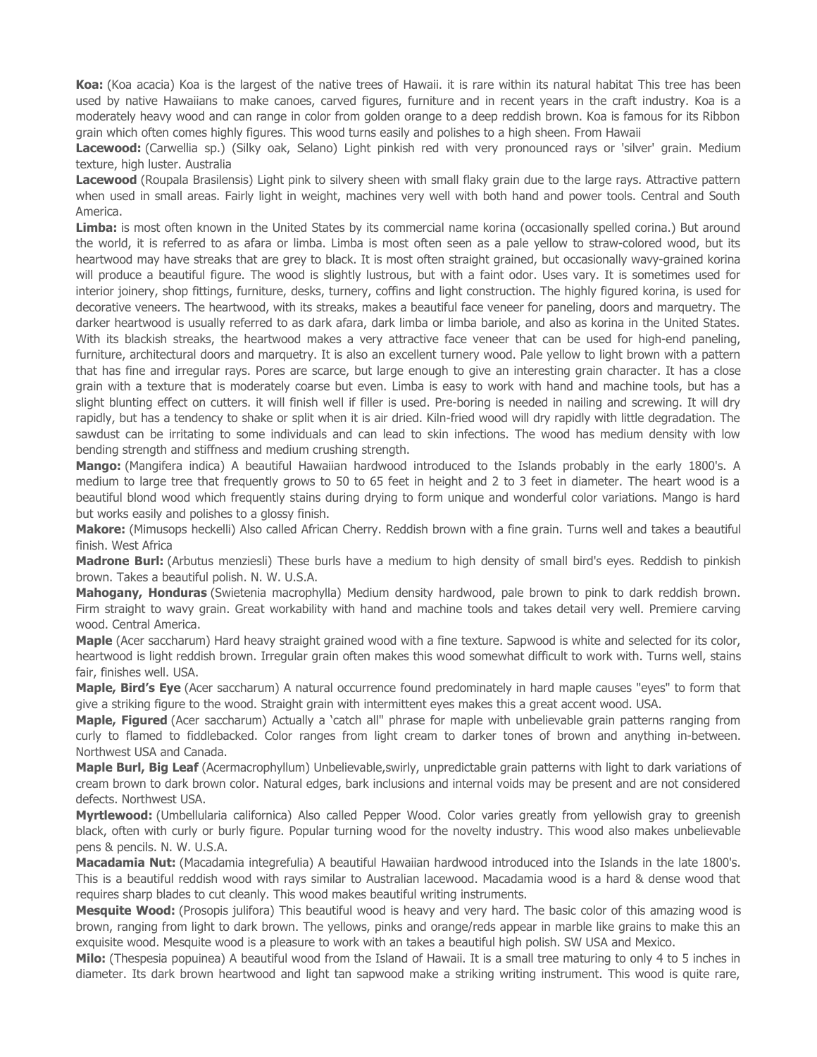**Koa:** (Koa acacia) Koa is the largest of the native trees of Hawaii. it is rare within its natural habitat This tree has been used by native Hawaiians to make canoes, carved figures, furniture and in recent years in the craft industry. Koa is a moderately heavy wood and can range in color from golden orange to a deep reddish brown. Koa is famous for its Ribbon grain which often comes highly figures. This wood turns easily and polishes to a high sheen. From Hawaii

**Lacewood:** (Carwellia sp.) (Silky oak, Selano) Light pinkish red with very pronounced rays or 'silver' grain. Medium texture, high luster. Australia

Lacewood (Roupala Brasilensis) Light pink to silvery sheen with small flaky grain due to the large rays. Attractive pattern when used in small areas. Fairly light in weight, machines very well with both hand and power tools. Central and South America.

Limba: is most often known in the United States by its commercial name korina (occasionally spelled corina.) But around the world, it is referred to as afara or limba. Limba is most often seen as a pale yellow to straw-colored wood, but its heartwood may have streaks that are grey to black. It is most often straight grained, but occasionally wavy-grained korina will produce a beautiful figure. The wood is slightly lustrous, but with a faint odor. Uses vary. It is sometimes used for interior joinery, shop fittings, furniture, desks, turnery, coffins and light construction. The highly figured korina, is used for decorative veneers. The heartwood, with its streaks, makes a beautiful face veneer for paneling, doors and marquetry. The darker heartwood is usually referred to as dark afara, dark limba or limba bariole, and also as korina in the United States. With its blackish streaks, the heartwood makes a very attractive face veneer that can be used for high-end paneling, furniture, architectural doors and marquetry. It is also an excellent turnery wood. Pale yellow to light brown with a pattern that has fine and irregular rays. Pores are scarce, but large enough to give an interesting grain character. It has a close grain with a texture that is moderately coarse but even. Limba is easy to work with hand and machine tools, but has a slight blunting effect on cutters. it will finish well if filler is used. Pre-boring is needed in nailing and screwing. It will dry rapidly, but has a tendency to shake or split when it is air dried. Kiln-fried wood will dry rapidly with little degradation. The sawdust can be irritating to some individuals and can lead to skin infections. The wood has medium density with low bending strength and stiffness and medium crushing strength.

**Mango:** (Mangifera indica) A beautiful Hawaiian hardwood introduced to the Islands probably in the early 1800's. A medium to large tree that frequently grows to 50 to 65 feet in height and 2 to 3 feet in diameter. The heart wood is a beautiful blond wood which frequently stains during drying to form unique and wonderful color variations. Mango is hard but works easily and polishes to a glossy finish.

**Makore:** (Mimusops heckelli) Also called African Cherry. Reddish brown with a fine grain. Turns well and takes a beautiful finish. West Africa

**Madrone Burl:** (Arbutus menziesli) These burls have a medium to high density of small bird's eyes. Reddish to pinkish brown. Takes a beautiful polish. N. W. U.S.A.

**Mahogany, Honduras** (Swietenia macrophylla) Medium density hardwood, pale brown to pink to dark reddish brown. Firm straight to wavy grain. Great workability with hand and machine tools and takes detail very well. Premiere carving wood. Central America.

**Maple** (Acer saccharum) Hard heavy straight grained wood with a fine texture. Sapwood is white and selected for its color, heartwood is light reddish brown. Irregular grain often makes this wood somewhat difficult to work with. Turns well, stains fair, finishes well. USA.

**Maple, Bird's Eye** (Acer saccharum) A natural occurrence found predominately in hard maple causes "eyes" to form that give a striking figure to the wood. Straight grain with intermittent eyes makes this a great accent wood. USA.

**Maple, Figured** (Acer saccharum) Actually a 'catch all" phrase for maple with unbelievable grain patterns ranging from curly to flamed to fiddlebacked. Color ranges from light cream to darker tones of brown and anything in-between. Northwest USA and Canada.

**Maple Burl, Big Leaf** (Acermacrophyllum) Unbelievable,swirly, unpredictable grain patterns with light to dark variations of cream brown to dark brown color. Natural edges, bark inclusions and internal voids may be present and are not considered defects. Northwest USA.

**Myrtlewood:** (Umbellularia californica) Also called Pepper Wood. Color varies greatly from yellowish gray to greenish black, often with curly or burly figure. Popular turning wood for the novelty industry. This wood also makes unbelievable pens & pencils. N. W. U.S.A.

**Macadamia Nut:** (Macadamia integrefulia) A beautiful Hawaiian hardwood introduced into the Islands in the late 1800's. This is a beautiful reddish wood with rays similar to Australian lacewood. Macadamia wood is a hard & dense wood that requires sharp blades to cut cleanly. This wood makes beautiful writing instruments.

**Mesquite Wood:** (Prosopis julifora) This beautiful wood is heavy and very hard. The basic color of this amazing wood is brown, ranging from light to dark brown. The yellows, pinks and orange/reds appear in marble like grains to make this an exquisite wood. Mesquite wood is a pleasure to work with an takes a beautiful high polish. SW USA and Mexico.

**Milo:** (Thespesia popuinea) A beautiful wood from the Island of Hawaii. It is a small tree maturing to only 4 to 5 inches in diameter. Its dark brown heartwood and light tan sapwood make a striking writing instrument. This wood is quite rare,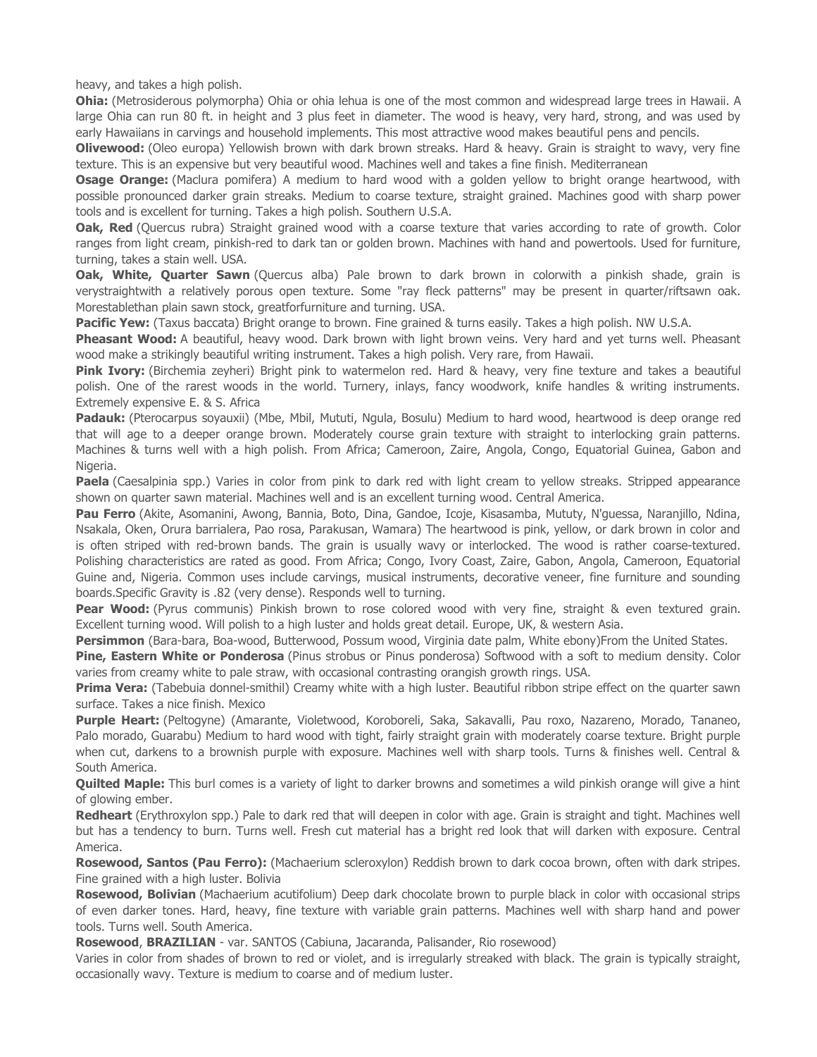heavy, and takes a high polish.

**Ohia:** (Metrosiderous polymorpha) Ohia or ohia lehua is one of the most common and widespread large trees in Hawaii. A large Ohia can run 80 ft. in height and 3 plus feet in diameter. The wood is heavy, very hard, strong, and was used by early Hawaiians in carvings and household implements. This most attractive wood makes beautiful pens and pencils.

**Olivewood:** (Oleo europa) Yellowish brown with dark brown streaks. Hard & heavy. Grain is straight to wavy, very fine texture. This is an expensive but very beautiful wood. Machines well and takes a fine finish. Mediterranean

**Osage Orange:** (Maclura pomifera) A medium to hard wood with a golden yellow to bright orange heartwood, with possible pronounced darker grain streaks. Medium to coarse texture, straight grained. Machines good with sharp power tools and is excellent for turning. Takes a high polish. Southern U.S.A.

**Oak, Red** (Quercus rubra) Straight grained wood with a coarse texture that varies according to rate of growth. Color ranges from light cream, pinkish-red to dark tan or golden brown. Machines with hand and powertools. Used for furniture, turning, takes a stain well. USA.

**Oak, White, Quarter Sawn** (Quercus alba) Pale brown to dark brown in colorwith a pinkish shade, grain is verystraightwith a relatively porous open texture. Some "ray fleck patterns" may be present in quarter/riftsawn oak. Morestablethan plain sawn stock, greatforfurniture and turning. USA.

**Pacific Yew:** (Taxus baccata) Bright orange to brown. Fine grained & turns easily. Takes a high polish. NW U.S.A.

**Pheasant Wood:** A beautiful, heavy wood. Dark brown with light brown veins. Very hard and yet turns well. Pheasant wood make a strikingly beautiful writing instrument. Takes a high polish. Very rare, from Hawaii.

**Pink Ivory:** (Birchemia zeyheri) Bright pink to watermelon red. Hard & heavy, very fine texture and takes a beautiful polish. One of the rarest woods in the world. Turnery, inlays, fancy woodwork, knife handles & writing instruments. Extremely expensive E. & S. Africa

**Padauk:** (Pterocarpus soyauxii) (Mbe, Mbil, Mututi, Ngula, Bosulu) Medium to hard wood, heartwood is deep orange red that will age to a deeper orange brown. Moderately course grain texture with straight to interlocking grain patterns. Machines & turns well with a high polish. From Africa; Cameroon, Zaire, Angola, Congo, Equatorial Guinea, Gabon and Nigeria.

**Paela** (Caesalpinia spp.) Varies in color from pink to dark red with light cream to yellow streaks. Stripped appearance shown on quarter sawn material. Machines well and is an excellent turning wood. Central America.

**Pau Ferro** (Akite, Asomanini, Awong, Bannia, Boto, Dina, Gandoe, Icoje, Kisasamba, Mututy, N'guessa, Naranjillo, Ndina, Nsakala, Oken, Orura barrialera, Pao rosa, Parakusan, Wamara) The heartwood is pink, yellow, or dark brown in color and is often striped with red-brown bands. The grain is usually wavy or interlocked. The wood is rather coarse-textured. Polishing characteristics are rated as good. From Africa; Congo, Ivory Coast, Zaire, Gabon, Angola, Cameroon, Equatorial Guine and, Nigeria. Common uses include carvings, musical instruments, decorative veneer, fine furniture and sounding boards.Specific Gravity is .82 (very dense). Responds well to turning.

**Pear Wood:** (Pyrus communis) Pinkish brown to rose colored wood with very fine, straight & even textured grain. Excellent turning wood. Will polish to a high luster and holds great detail. Europe, UK, & western Asia.

**Persimmon** (Bara-bara, Boa-wood, Butterwood, Possum wood, Virginia date palm, White ebony)From the United States.

**Pine, Eastern White or Ponderosa** (Pinus strobus or Pinus ponderosa) Softwood with a soft to medium density. Color varies from creamy white to pale straw, with occasional contrasting orangish growth rings. USA.

**Prima Vera:** (Tabebuia donnel-smithil) Creamy white with a high luster. Beautiful ribbon stripe effect on the quarter sawn surface. Takes a nice finish. Mexico

**Purple Heart:** (Peltogyne) (Amarante, Violetwood, Koroboreli, Saka, Sakavalli, Pau roxo, Nazareno, Morado, Tananeo, Palo morado, Guarabu) Medium to hard wood with tight, fairly straight grain with moderately coarse texture. Bright purple when cut, darkens to a brownish purple with exposure. Machines well with sharp tools. Turns & finishes well. Central & South America.

**Quilted Maple:** This burl comes is a variety of light to darker browns and sometimes a wild pinkish orange will give a hint of glowing ember.

**Redheart** (Erythroxylon spp.) Pale to dark red that will deepen in color with age. Grain is straight and tight. Machines well but has a tendency to burn. Turns well. Fresh cut material has a bright red look that will darken with exposure. Central America.

**Rosewood, Santos (Pau Ferro):** (Machaerium scleroxylon) Reddish brown to dark cocoa brown, often with dark stripes. Fine grained with a high luster. Bolivia

**Rosewood, Bolivian** (Machaerium acutifolium) Deep dark chocolate brown to purple black in color with occasional strips of even darker tones. Hard, heavy, fine texture with variable grain patterns. Machines well with sharp hand and power tools. Turns well. South America.

**Rosewood**, **BRAZILIAN** - var. SANTOS (Cabiuna, Jacaranda, Palisander, Rio rosewood)

Varies in color from shades of brown to red or violet, and is irregularly streaked with black. The grain is typically straight, occasionally wavy. Texture is medium to coarse and of medium luster.